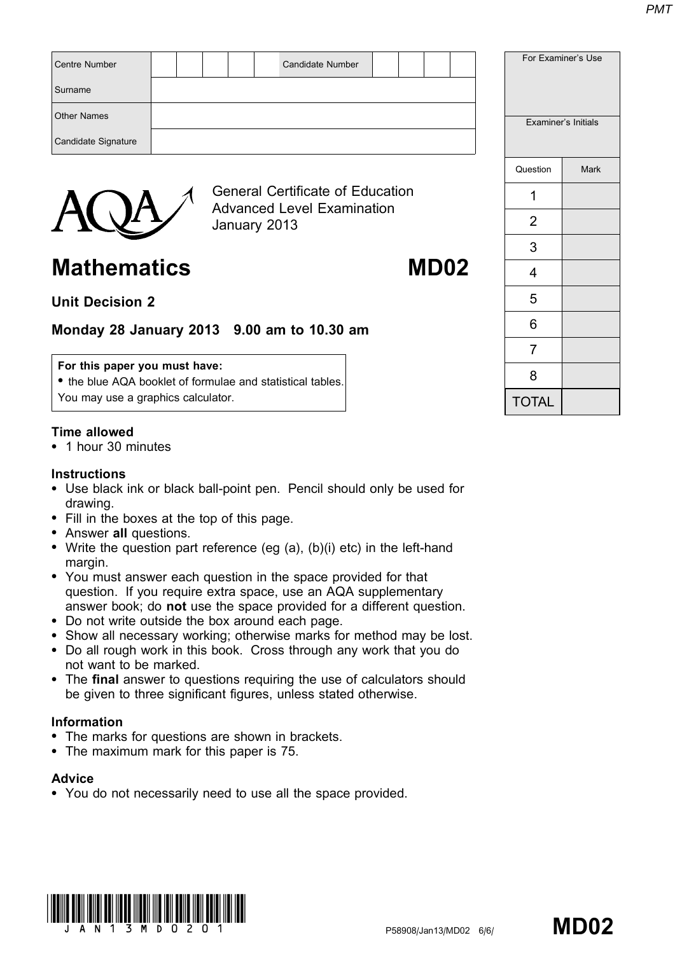| <b>Centre Number</b> |  |  | <b>Candidate Number</b>                                                      |  |  |  |          | For Examiner's Use  |
|----------------------|--|--|------------------------------------------------------------------------------|--|--|--|----------|---------------------|
| Surname              |  |  |                                                                              |  |  |  |          |                     |
| <b>Other Names</b>   |  |  |                                                                              |  |  |  |          | Examiner's Initials |
| Candidate Signature  |  |  |                                                                              |  |  |  |          |                     |
|                      |  |  |                                                                              |  |  |  | Question | <b>Mark</b>         |
|                      |  |  | <b>General Certificate of Education</b><br><b>Advanced Level Examination</b> |  |  |  |          |                     |
|                      |  |  |                                                                              |  |  |  |          |                     |



# Unit Decision 2

# Monday 28 January 2013 9.00 am to 10.30 am

## For this paper you must have:

• the blue AQA booklet of formulae and statistical tables. You may use a graphics calculator.

## Time allowed

\* 1 hour 30 minutes

#### **Instructions**

• Use black ink or black ball-point pen. Pencil should only be used for drawing.

January 2013

- Fill in the boxes at the top of this page.
- Answer all questions.
- Write the question part reference (eg  $(a)$ ,  $(b)(i)$  etc) in the left-hand margin.
- You must answer each question in the space provided for that question. If you require extra space, use an AQA supplementary answer book; do not use the space provided for a different question.
- \* Do not write outside the box around each page.
- Show all necessary working; otherwise marks for method may be lost.
- \* Do all rough work in this book. Cross through any work that you do not want to be marked.
- The final answer to questions requiring the use of calculators should be given to three significant figures, unless stated otherwise.

## Information

- The marks for questions are shown in brackets.
- The maximum mark for this paper is 75.

#### **Advice**

• You do not necessarily need to use all the space provided.



|                | Examiner's Initials |
|----------------|---------------------|
| Question       | Mark                |
| 1              |                     |
| $\overline{2}$ |                     |
| 3              |                     |
| 4              |                     |
| 5              |                     |
| 6              |                     |
| $\overline{7}$ |                     |
| 8              |                     |
| <b>TOTAL</b>   |                     |

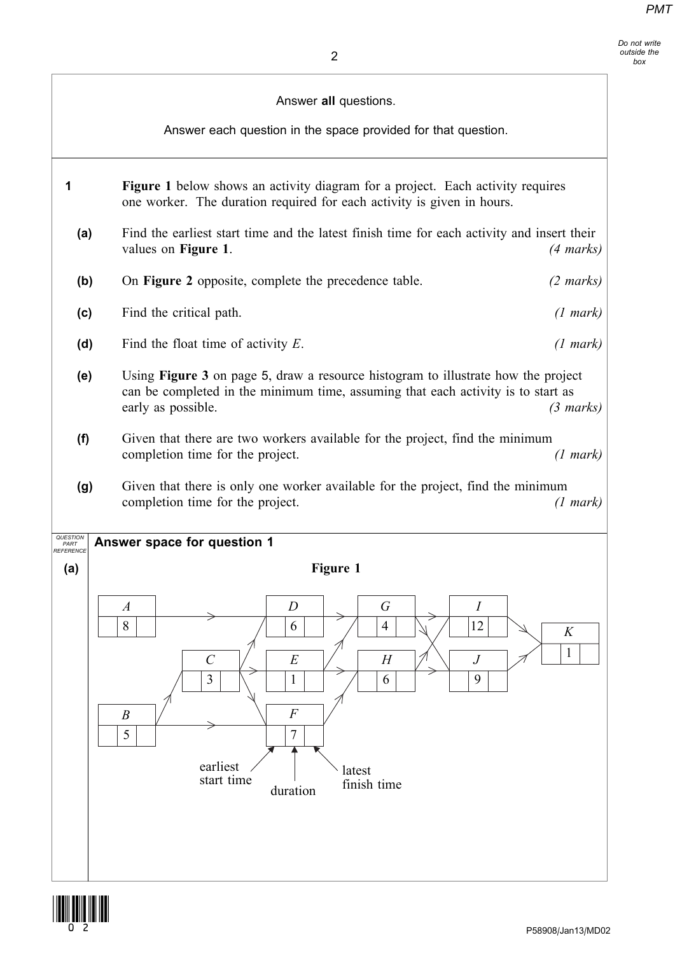Do not write outside the box

|                               | Answer all questions.<br>Answer each question in the space provided for that question.                                                                                                                                                                     |                     |
|-------------------------------|------------------------------------------------------------------------------------------------------------------------------------------------------------------------------------------------------------------------------------------------------------|---------------------|
| 1                             | <b>Figure 1</b> below shows an activity diagram for a project. Each activity requires<br>one worker. The duration required for each activity is given in hours.                                                                                            |                     |
| (a)                           | Find the earliest start time and the latest finish time for each activity and insert their<br>values on Figure 1.                                                                                                                                          | $(4 \text{ marks})$ |
| (b)                           | On Figure 2 opposite, complete the precedence table.                                                                                                                                                                                                       | $(2 \text{ marks})$ |
| (c)                           | Find the critical path.                                                                                                                                                                                                                                    | $(1 \text{ mark})$  |
| (d)                           | Find the float time of activity $E$ .                                                                                                                                                                                                                      | $(1 \text{ mark})$  |
| (e)                           | Using <b>Figure 3</b> on page 5, draw a resource histogram to illustrate how the project<br>can be completed in the minimum time, assuming that each activity is to start as<br>early as possible.                                                         | $(3 \text{ marks})$ |
| (f)                           | Given that there are two workers available for the project, find the minimum<br>completion time for the project.                                                                                                                                           | (1 mark)            |
| (g)                           | Given that there is only one worker available for the project, find the minimum<br>completion time for the project.                                                                                                                                        | (1 mark)            |
| QUESTION<br>PART<br>REFERENCE | Answer space for question 1                                                                                                                                                                                                                                |                     |
| (a)                           | Figure 1<br>$\boldsymbol{G}$<br>$\overline{D}$<br>$\boldsymbol{I}$<br>$\boldsymbol{A}$<br>8<br>12<br>$\overline{4}$<br>6<br>$\mathcal{C}$<br>E<br>$\boldsymbol{J}$<br>H<br>$\overline{3}$<br>9<br>6<br>1<br>$\boldsymbol{F}$<br>$\boldsymbol{B}$<br>5<br>7 | $\cal K$<br>1       |
|                               | earliest<br>latest<br>start time<br>finish time<br>duration                                                                                                                                                                                                |                     |

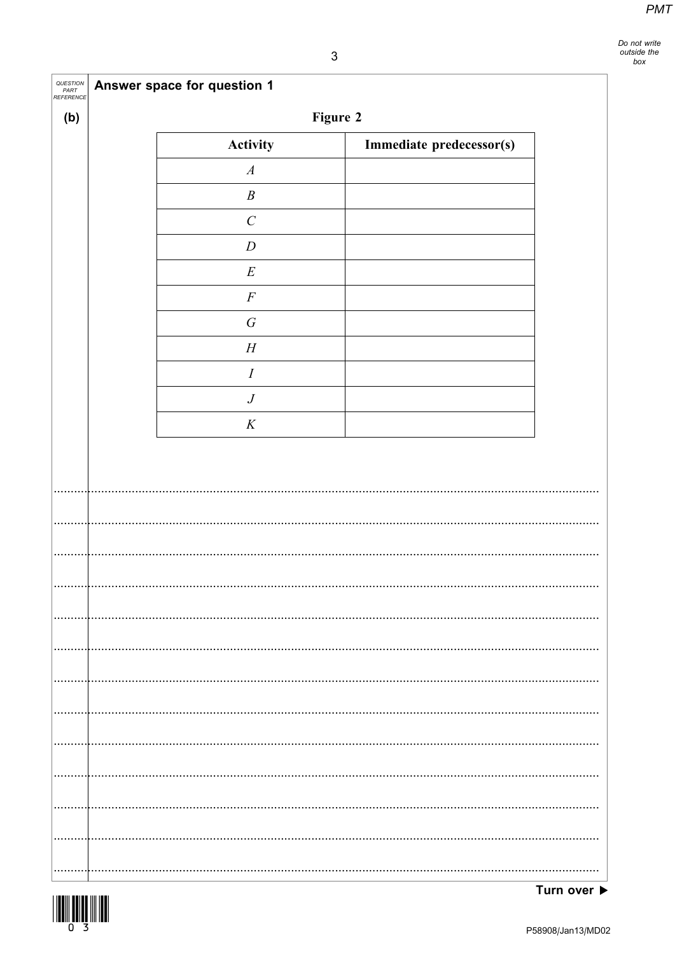Do not write<br>outside the<br>box

٦

| QUESTION<br>PART<br>REFERENCE | <b>Answer space for question 1</b> |                          |
|-------------------------------|------------------------------------|--------------------------|
| (b)                           | Figure 2                           |                          |
|                               | Activity                           | Immediate predecessor(s) |
|                               | $\boldsymbol{A}$                   |                          |
|                               | $\boldsymbol{B}$                   |                          |
|                               | $\cal C$                           |                          |
|                               | $\boldsymbol{D}$                   |                          |
|                               | $\cal E$                           |                          |
|                               | $\cal F$                           |                          |
|                               | $\cal G$                           |                          |
|                               | $\cal H$                           |                          |
|                               | $\cal I$                           |                          |
|                               | $\boldsymbol{J}$                   |                          |
|                               | $\boldsymbol{K}$                   |                          |
|                               |                                    |                          |
|                               |                                    |                          |
|                               |                                    |                          |
|                               |                                    |                          |
|                               |                                    |                          |
|                               |                                    |                          |
|                               |                                    |                          |
|                               |                                    |                          |
|                               |                                    |                          |
|                               |                                    |                          |
|                               |                                    |                          |
|                               |                                    |                          |
|                               |                                    |                          |
|                               |                                    |                          |
|                               |                                    |                          |
|                               |                                    |                          |
|                               |                                    |                          |
|                               |                                    |                          |
|                               |                                    |                          |



 $\Gamma$ 

ℸ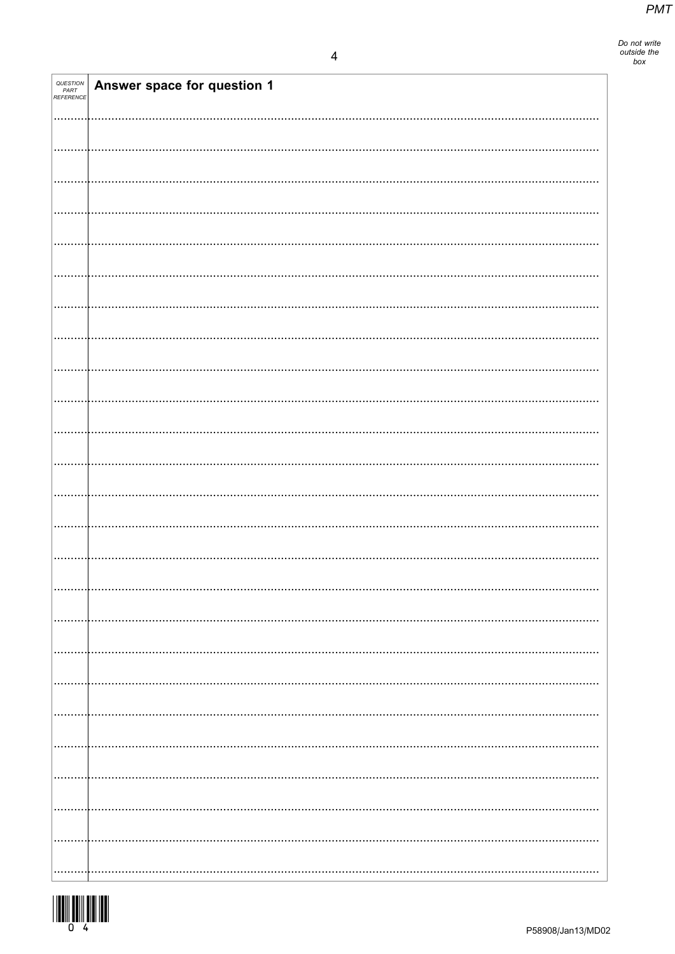| QUESTION<br>PART<br>REFERENCE | Answer space for question 1 |
|-------------------------------|-----------------------------|
|                               |                             |
|                               |                             |
|                               |                             |
|                               |                             |
|                               |                             |
|                               |                             |
|                               |                             |
|                               |                             |
|                               |                             |
|                               |                             |
|                               |                             |
|                               |                             |
|                               |                             |
|                               |                             |
|                               |                             |
|                               |                             |
|                               |                             |
|                               |                             |
|                               |                             |
|                               |                             |
|                               |                             |
|                               |                             |
|                               |                             |
|                               |                             |
|                               |                             |
|                               |                             |
|                               |                             |
|                               |                             |

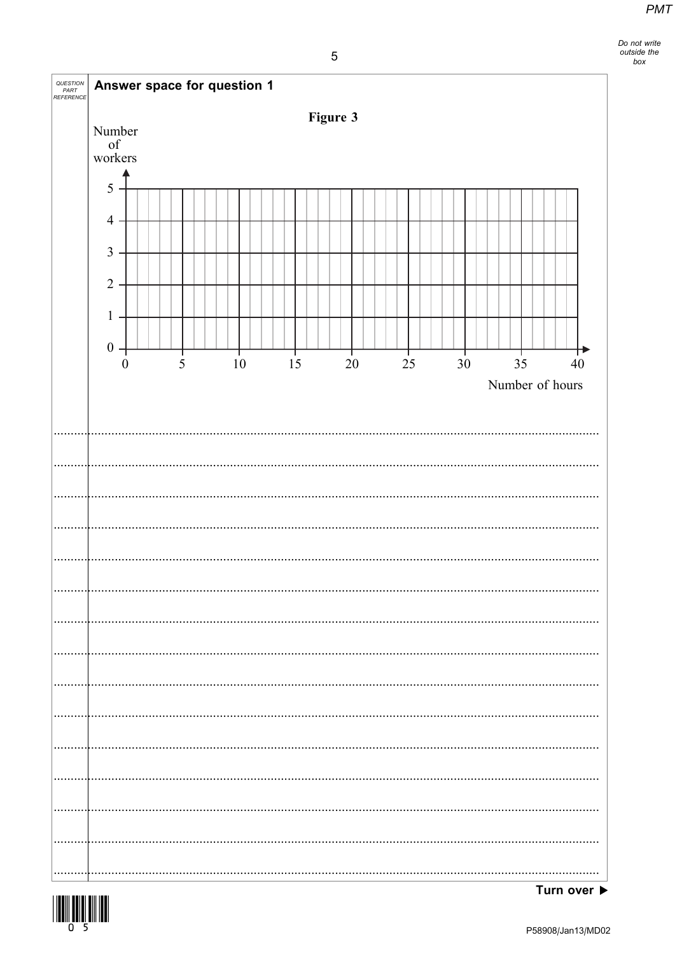Do not write<br>outside the<br>box

| QUESTION<br>PART<br>REFERENCE | Answer space for question 1                                                                                             |  |   |  |                |                |          |        |  |    |  |                 |  |                |                 |        |
|-------------------------------|-------------------------------------------------------------------------------------------------------------------------|--|---|--|----------------|----------------|----------|--------|--|----|--|-----------------|--|----------------|-----------------|--------|
|                               |                                                                                                                         |  |   |  |                |                | Figure 3 |        |  |    |  |                 |  |                |                 |        |
|                               | Number<br>$% \left( \left( \mathcal{A},\mathcal{A}\right) \right) =\left( \mathcal{A},\mathcal{A}\right)$ of<br>workers |  |   |  |                |                |          |        |  |    |  |                 |  |                |                 |        |
|                               | 5                                                                                                                       |  |   |  |                |                |          |        |  |    |  |                 |  |                |                 |        |
|                               | $\overline{4}$                                                                                                          |  |   |  |                |                |          |        |  |    |  |                 |  |                |                 |        |
|                               | $\mathfrak{Z}$                                                                                                          |  |   |  |                |                |          |        |  |    |  |                 |  |                |                 |        |
|                               | $\overline{2}$                                                                                                          |  |   |  |                |                |          |        |  |    |  |                 |  |                |                 |        |
|                               | $\mathbf{1}$                                                                                                            |  |   |  |                |                |          |        |  |    |  |                 |  |                |                 |        |
|                               | $0$ .                                                                                                                   |  |   |  | $\frac{1}{10}$ | $\frac{1}{15}$ |          |        |  |    |  |                 |  | $\frac{1}{35}$ |                 |        |
|                               | $\boldsymbol{0}$                                                                                                        |  | 5 |  |                |                |          | $20\,$ |  | 25 |  | 30 <sup>2</sup> |  |                | Number of hours | $40\,$ |
|                               |                                                                                                                         |  |   |  |                |                |          |        |  |    |  |                 |  |                |                 |        |
|                               |                                                                                                                         |  |   |  |                |                |          |        |  |    |  |                 |  |                |                 |        |
|                               |                                                                                                                         |  |   |  |                |                |          |        |  |    |  |                 |  |                |                 |        |
|                               |                                                                                                                         |  |   |  |                |                |          |        |  |    |  |                 |  |                |                 |        |
|                               |                                                                                                                         |  |   |  |                |                |          |        |  |    |  |                 |  |                |                 |        |
|                               |                                                                                                                         |  |   |  |                |                |          |        |  |    |  |                 |  |                |                 |        |
|                               |                                                                                                                         |  |   |  |                |                |          |        |  |    |  |                 |  |                |                 |        |
|                               |                                                                                                                         |  |   |  |                |                |          |        |  |    |  |                 |  |                |                 |        |
|                               |                                                                                                                         |  |   |  |                |                |          |        |  |    |  |                 |  |                |                 |        |
|                               |                                                                                                                         |  |   |  |                |                |          |        |  |    |  |                 |  |                |                 |        |
|                               |                                                                                                                         |  |   |  |                |                |          |        |  |    |  |                 |  |                |                 |        |
|                               |                                                                                                                         |  |   |  |                |                |          |        |  |    |  |                 |  |                |                 |        |
|                               |                                                                                                                         |  |   |  |                |                |          |        |  |    |  |                 |  |                |                 |        |
|                               |                                                                                                                         |  |   |  |                |                |          |        |  |    |  |                 |  |                |                 |        |
|                               |                                                                                                                         |  |   |  |                |                |          |        |  |    |  |                 |  |                |                 |        |

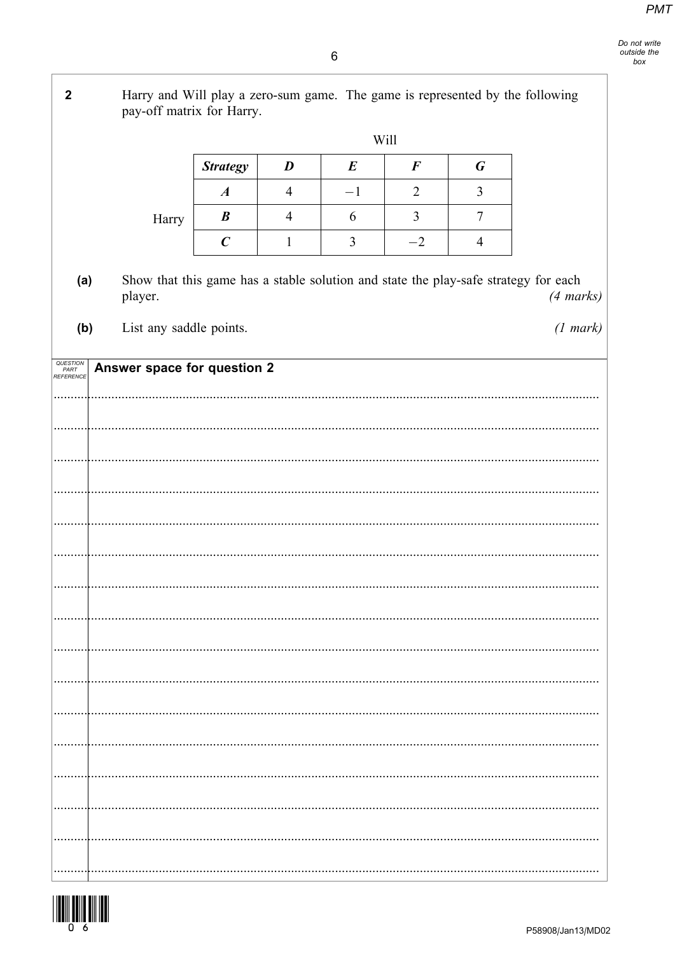Harry and Will play a zero-sum game. The game is represented by the following  $\overline{2}$ pay-off matrix for Harry. Will **Strategy**  $\boldsymbol{D}$  $\boldsymbol{E}$  $\boldsymbol{F}$  $\boldsymbol{G}$  $\boldsymbol{A}$  $\overline{4}$  $-1$  $\overline{2}$  $\mathfrak{Z}$  $\boldsymbol{B}$  $\overline{4}$ 6  $\overline{3}$  $\boldsymbol{7}$ Harry  $\overline{C}$  $\overline{3}$  $-2$  $\mathbf{1}$  $\overline{4}$ Show that this game has a stable solution and state the play-safe strategy for each  $(a)$  $(4 \text{ marks})$ player.  $(b)$ List any saddle points.  $(1 mark)$ QUESTION<br>PART<br>REFERENCE Answer space for question 2 . . . . . . .  $\ddotsc$  $\ddotsc$  $\ddotsc$  $\overline{\phantom{a}}$  $\cdots$ 

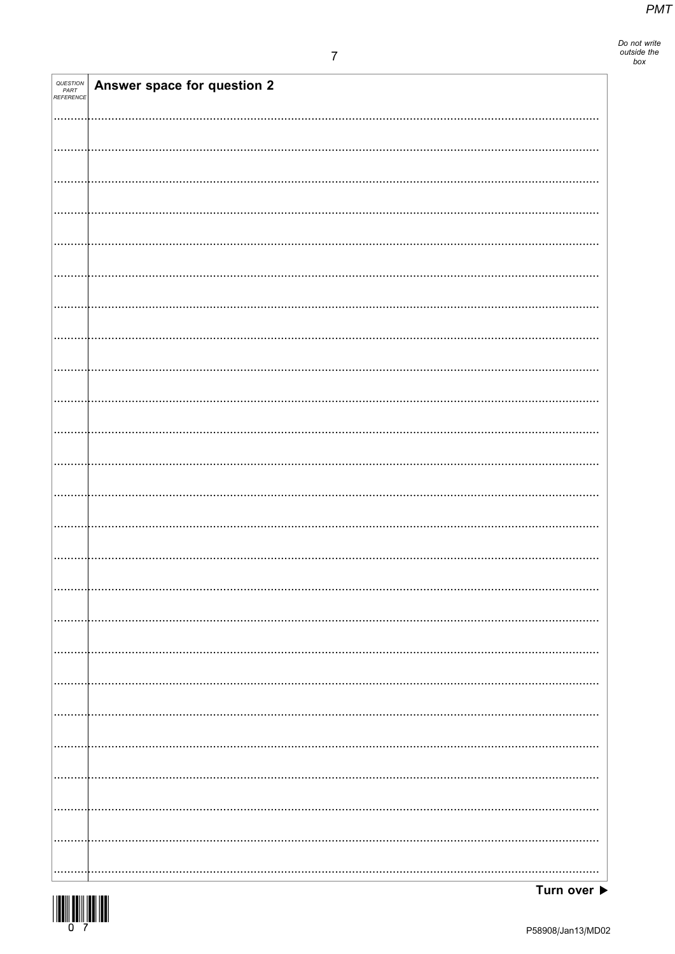Do not write<br>outside the<br>box

| QUESTION<br>PART<br>REFERENCE | Answer space for question 2 |
|-------------------------------|-----------------------------|
|                               |                             |
|                               |                             |
|                               |                             |
|                               |                             |
|                               |                             |
|                               |                             |
|                               |                             |
|                               |                             |
|                               |                             |
|                               |                             |
|                               |                             |
|                               |                             |
|                               |                             |
|                               |                             |
|                               |                             |
|                               |                             |
|                               |                             |
|                               |                             |
|                               |                             |
|                               |                             |
|                               |                             |
|                               |                             |
|                               |                             |
|                               |                             |
|                               |                             |

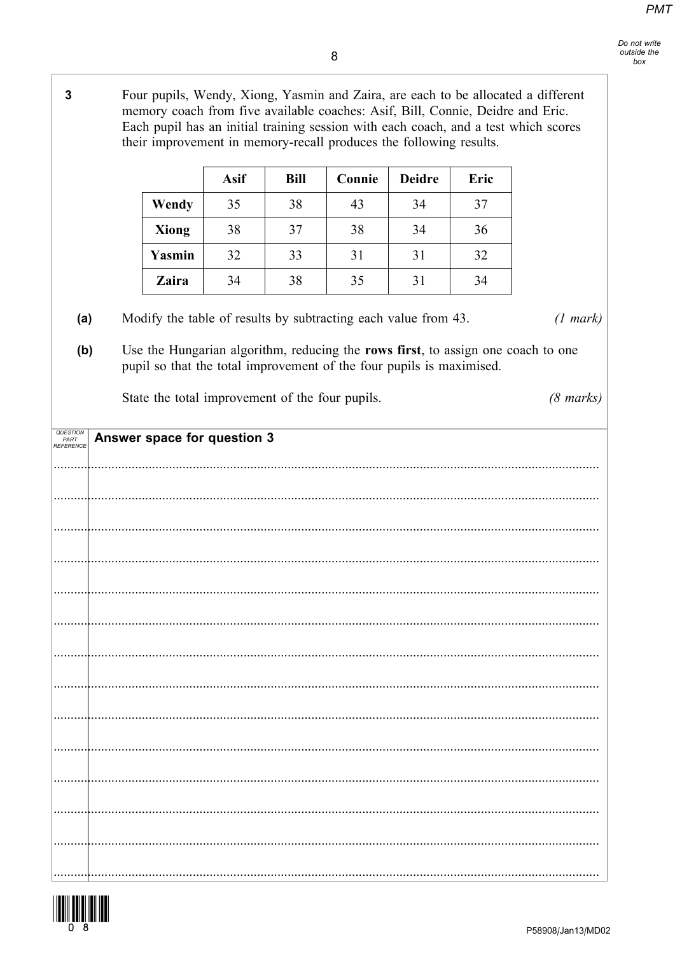$\overline{3}$ Four pupils, Wendy, Xiong, Yasmin and Zaira, are each to be allocated a different memory coach from five available coaches: Asif, Bill, Connie, Deidre and Eric. Each pupil has an initial training session with each coach, and a test which scores their improvement in memory-recall produces the following results. **Asif** Bill Connie **Deidre** Eric Wendy 35 38 43 34 37 **Xiong** 38 37 38 34 36 Yasmin 32 33 31  $31$ 32 Zaira 34 38 35  $31$ 34 Modify the table of results by subtracting each value from 43.  $(a)$  $(1 mark)$ Use the Hungarian algorithm, reducing the rows first, to assign one coach to one  $(b)$ pupil so that the total improvement of the four pupils is maximised. State the total improvement of the four pupils.  $(8 \text{ marks})$ QUESTION<br>PART<br>REFERENCI Answer space for question 3

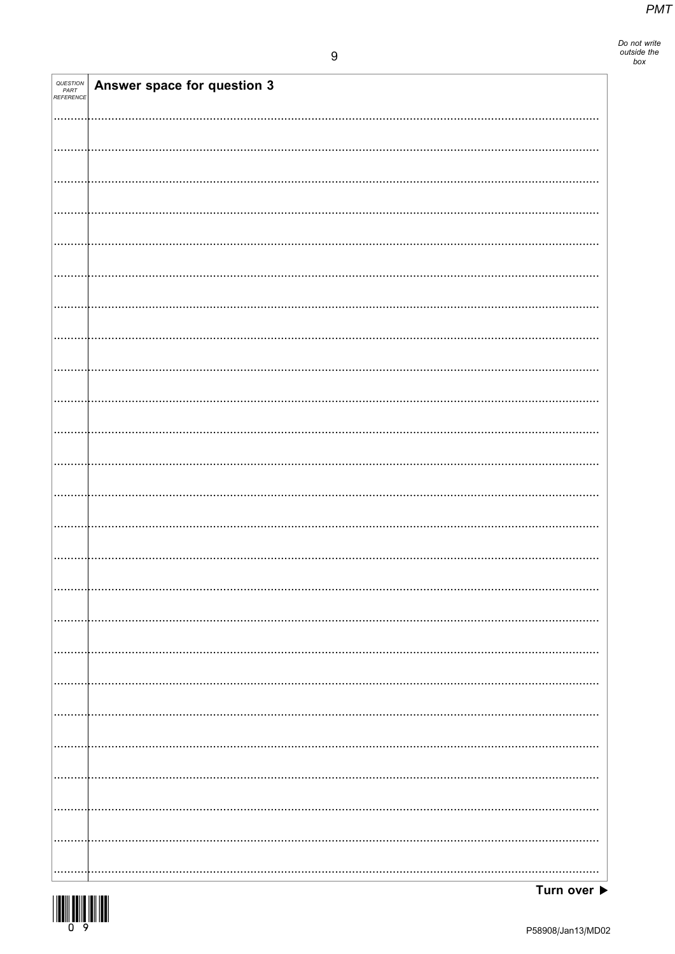Do not write<br>outside the<br>box

| QUESTION<br>PART<br>REFERENCE | Answer space for question 3 |
|-------------------------------|-----------------------------|
|                               |                             |
|                               |                             |
|                               |                             |
|                               |                             |
|                               |                             |
|                               |                             |
|                               |                             |
|                               |                             |
|                               |                             |
|                               |                             |
|                               |                             |
|                               |                             |
|                               |                             |
|                               |                             |
|                               |                             |
|                               |                             |
|                               |                             |
|                               |                             |
|                               |                             |
|                               |                             |
|                               |                             |
|                               |                             |
|                               |                             |
|                               |                             |
|                               |                             |

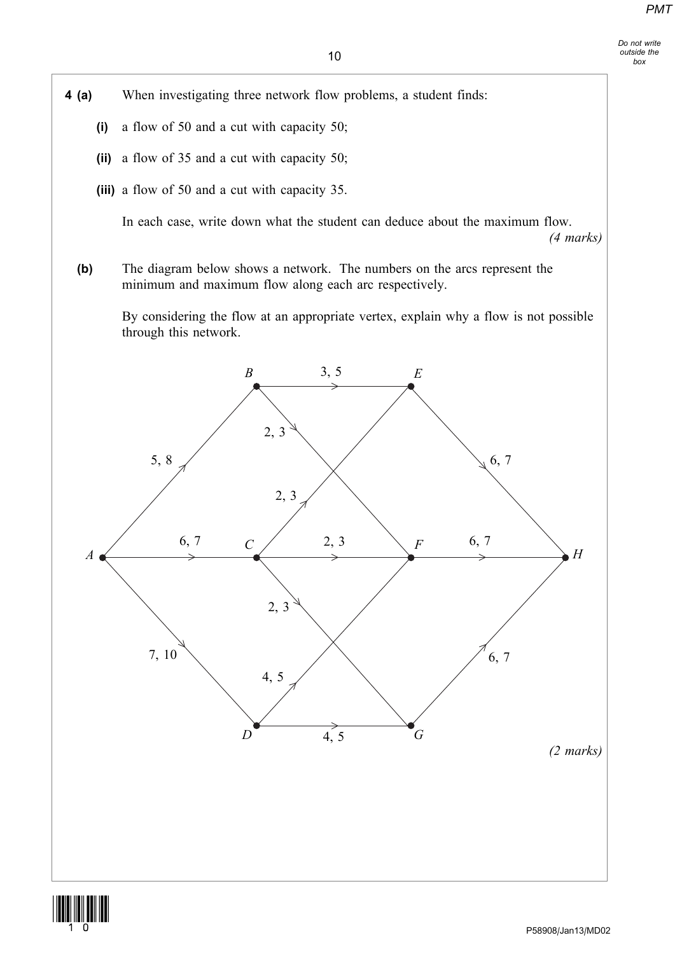Do not write outside the box

4 (a) When investigating three network flow problems, a student finds:

- (i) a flow of 50 and a cut with capacity 50;
- (ii) a flow of 35 and a cut with capacity 50;
- (iii) a flow of 50 and a cut with capacity 35.

In each case, write down what the student can deduce about the maximum flow.

(4 marks)

(b) The diagram below shows a network. The numbers on the arcs represent the minimum and maximum flow along each arc respectively.

By considering the flow at an appropriate vertex, explain why a flow is not possible through this network.



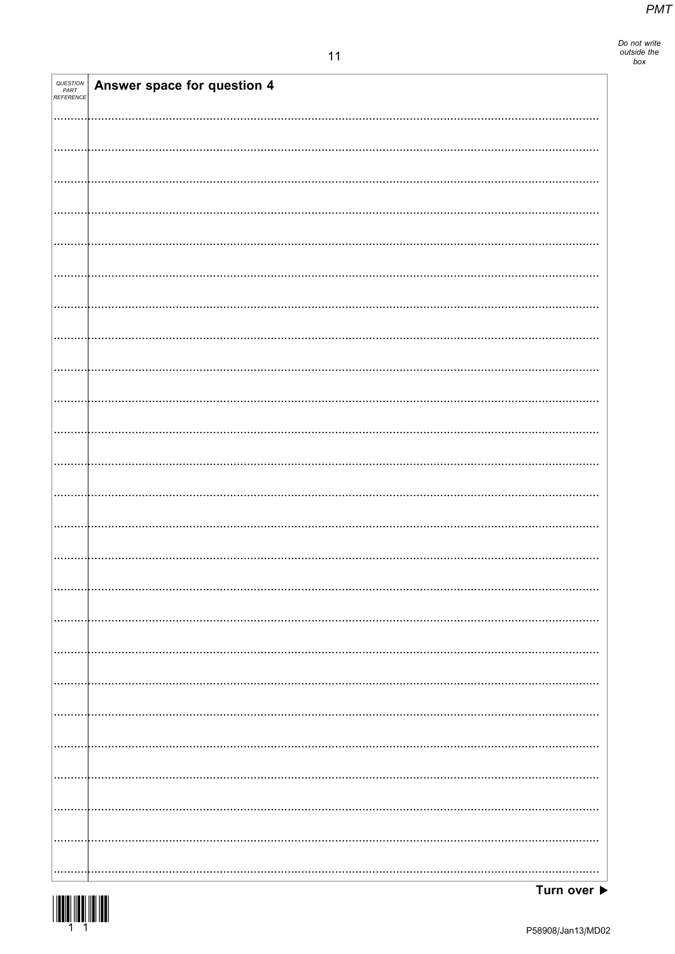Do not write<br>outside the<br>box

| <b>QUESTION<br/>PART<br/>REFERENCE</b> | Answer space for question 4 |
|----------------------------------------|-----------------------------|
|                                        |                             |
|                                        |                             |
|                                        |                             |
|                                        |                             |
|                                        |                             |
|                                        |                             |
|                                        |                             |
|                                        |                             |
|                                        |                             |
|                                        |                             |
|                                        |                             |
|                                        |                             |
|                                        |                             |
|                                        |                             |
|                                        |                             |
|                                        |                             |
|                                        |                             |
|                                        |                             |
|                                        |                             |
|                                        |                             |
|                                        |                             |
|                                        |                             |
|                                        |                             |
|                                        |                             |
|                                        |                             |
|                                        |                             |
|                                        |                             |
|                                        |                             |
|                                        |                             |
|                                        |                             |
|                                        |                             |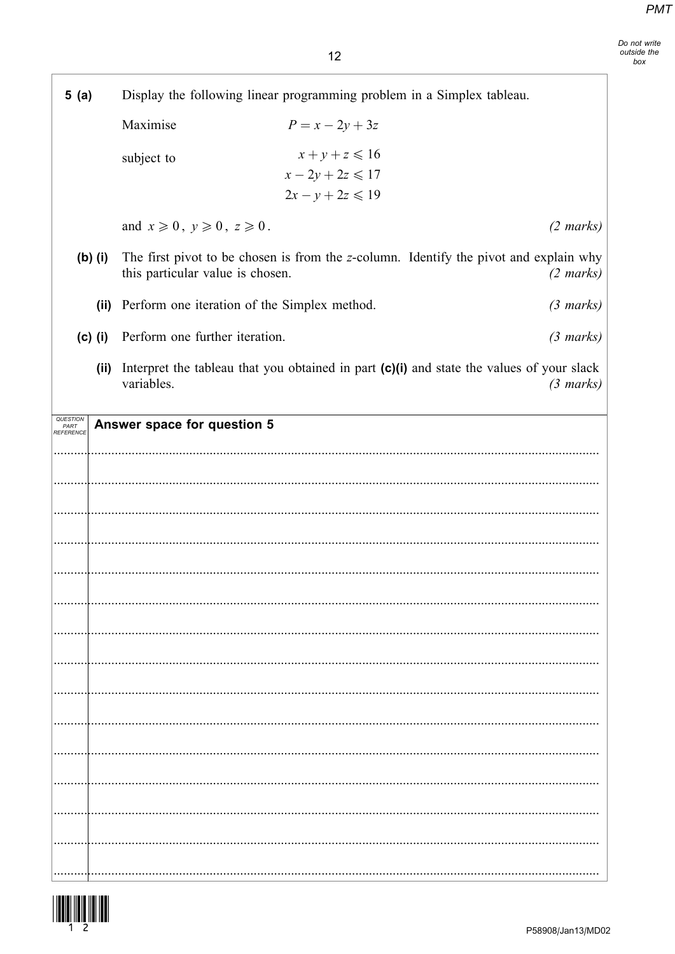Do not write<br>outside the<br>box

٦

 $12$ 

| 5(a)                                        |                                                   | Display the following linear programming problem in a Simplex tableau.                    |                     |
|---------------------------------------------|---------------------------------------------------|-------------------------------------------------------------------------------------------|---------------------|
|                                             | Maximise                                          | $P = x - 2y + 3z$                                                                         |                     |
|                                             | subject to                                        | $x+y+z \leq 16$<br>$x-2y+2z\leq 17$<br>$2x - y + 2z \le 19$                               |                     |
|                                             | and $x \ge 0$ , $y \ge 0$ , $z \ge 0$ .           |                                                                                           | $(2 \text{ marks})$ |
| $(b)$ (i)                                   | this particular value is chosen.                  | The first pivot to be chosen is from the z-column. Identify the pivot and explain why     | $(2 \text{ marks})$ |
|                                             | (ii) Perform one iteration of the Simplex method. |                                                                                           | $(3 \text{ marks})$ |
| $(c)$ (i)                                   | Perform one further iteration.                    |                                                                                           | $(3 \text{ marks})$ |
| (ii)                                        | variables.                                        | Interpret the tableau that you obtained in part (c)(i) and state the values of your slack | $(3 \text{ marks})$ |
| <i><b>QUESTIOI</b></i><br>PART<br>REFERENCE | Answer space for question 5                       |                                                                                           |                     |
|                                             |                                                   |                                                                                           |                     |
|                                             |                                                   |                                                                                           |                     |
|                                             |                                                   |                                                                                           |                     |
|                                             |                                                   |                                                                                           |                     |
|                                             |                                                   |                                                                                           |                     |
|                                             |                                                   |                                                                                           |                     |
|                                             |                                                   |                                                                                           |                     |
|                                             |                                                   |                                                                                           |                     |
|                                             |                                                   |                                                                                           |                     |
|                                             |                                                   |                                                                                           |                     |
|                                             |                                                   |                                                                                           |                     |
|                                             |                                                   |                                                                                           |                     |
|                                             |                                                   |                                                                                           |                     |
|                                             |                                                   |                                                                                           |                     |
|                                             |                                                   |                                                                                           |                     |



 $\overline{\phantom{a}}$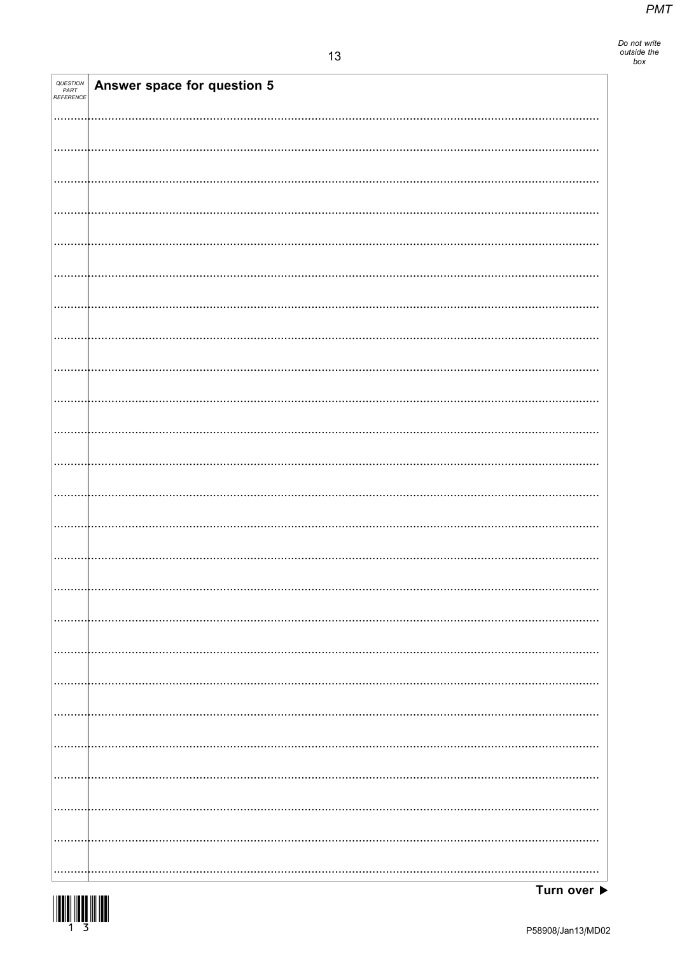Do not write<br>outside the<br>box

| QUESTION<br>PART<br>REFERENCE | Answer space for question 5 |
|-------------------------------|-----------------------------|
|                               |                             |
|                               |                             |
|                               |                             |
|                               |                             |
|                               |                             |
|                               |                             |
|                               |                             |
|                               |                             |
|                               |                             |
|                               |                             |
|                               |                             |
|                               |                             |
|                               |                             |
|                               |                             |
|                               |                             |
|                               |                             |
|                               |                             |
|                               |                             |
|                               |                             |
|                               |                             |
|                               |                             |
|                               |                             |
|                               |                             |
|                               |                             |
|                               |                             |

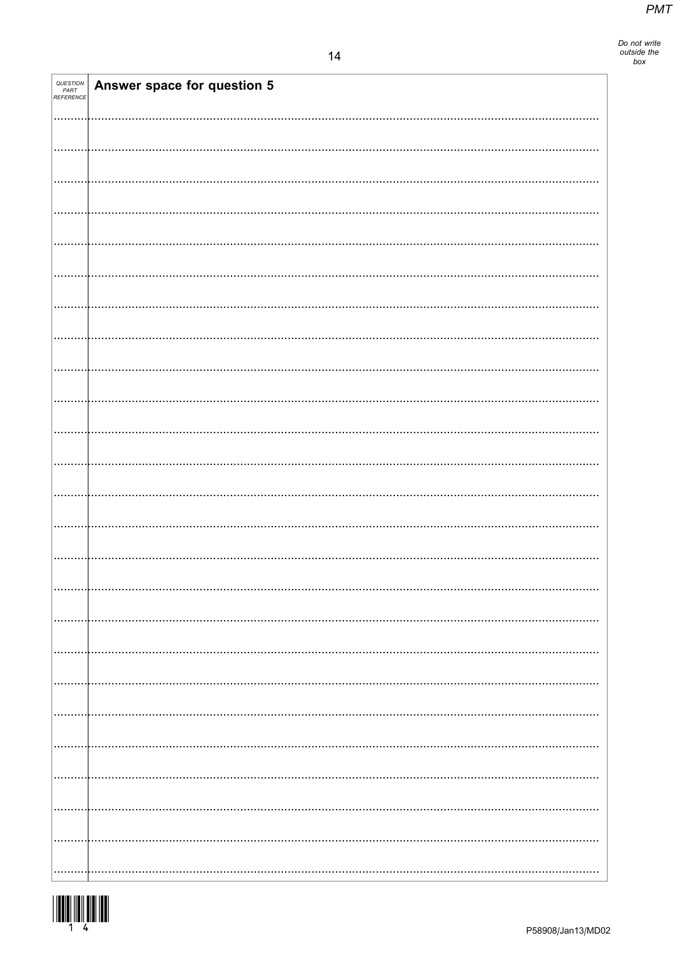| QUESTION<br>PART<br>REFERENCE | Answer space for question 5 |
|-------------------------------|-----------------------------|
|                               |                             |
|                               |                             |
|                               |                             |
|                               |                             |
|                               |                             |
|                               |                             |
|                               |                             |
|                               |                             |
|                               |                             |
|                               |                             |
|                               |                             |
|                               |                             |
|                               |                             |
|                               |                             |
|                               |                             |
|                               |                             |
|                               |                             |
|                               |                             |
|                               |                             |
|                               |                             |
|                               |                             |
|                               |                             |
|                               |                             |
|                               |                             |
|                               |                             |
|                               |                             |
|                               |                             |

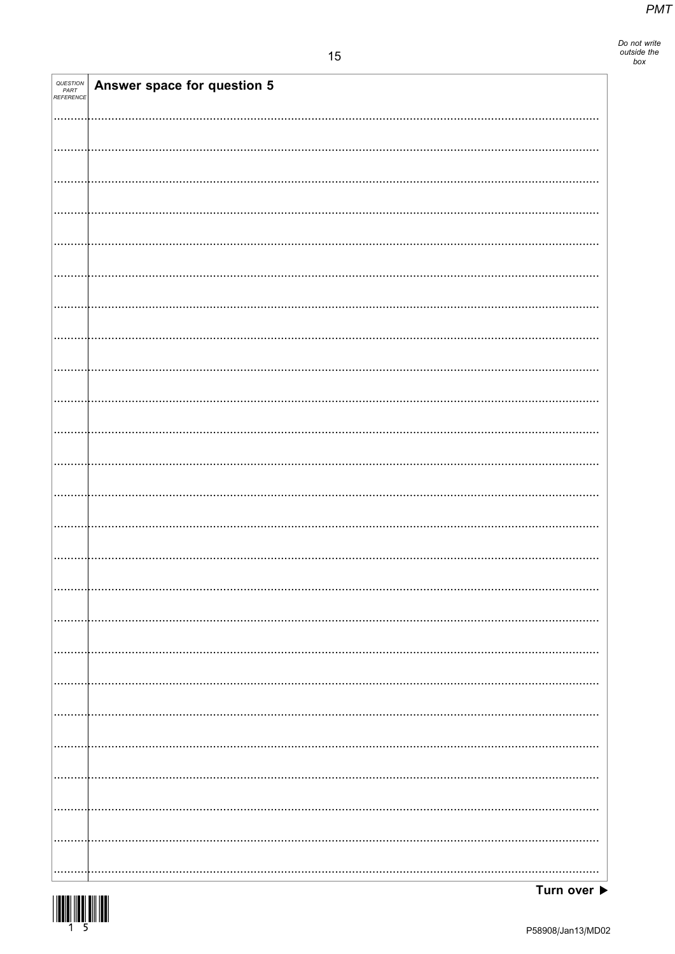Do not write<br>outside the<br>box

| QUESTION<br>PART<br>REFERENCE | Answer space for question 5 |
|-------------------------------|-----------------------------|
|                               |                             |
|                               |                             |
|                               |                             |
|                               |                             |
|                               |                             |
|                               |                             |
|                               |                             |
|                               |                             |
|                               |                             |
|                               |                             |
|                               |                             |
|                               |                             |
|                               |                             |
|                               |                             |
|                               |                             |
|                               |                             |
|                               |                             |
|                               |                             |
|                               |                             |
|                               |                             |
|                               |                             |
|                               |                             |
|                               |                             |
|                               |                             |
|                               |                             |

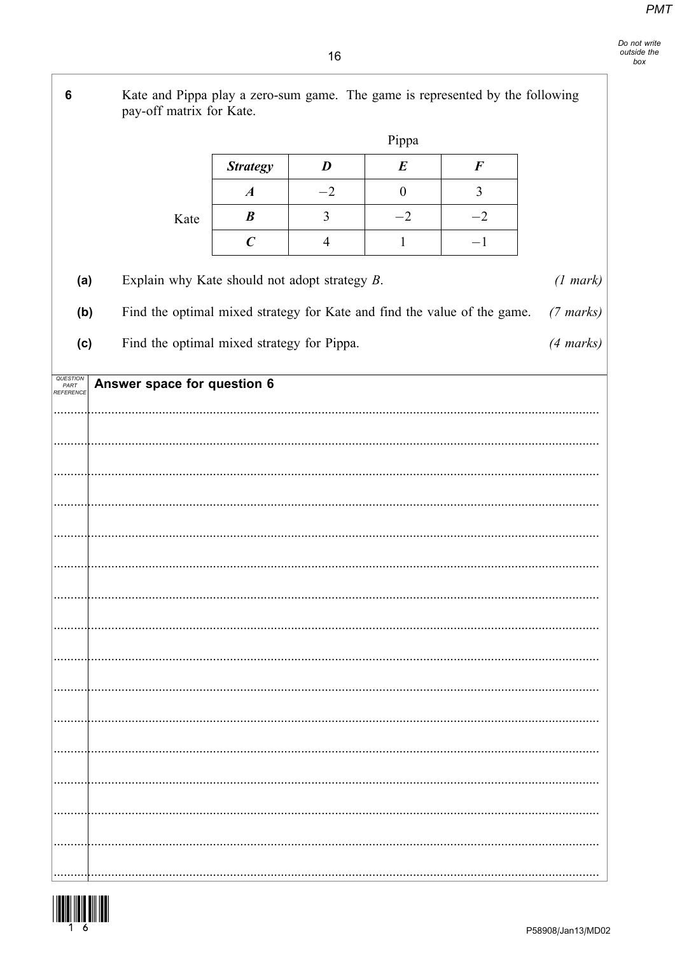Do not write outside the  $h(x)$ 

Kate and Pippa play a zero-sum game. The game is represented by the following  $6\phantom{a}$ pay-off matrix for Kate. Pippa **Strategy** D  $\boldsymbol{E}$  $\boldsymbol{F}$  $\boldsymbol{A}$  $-2$  $\overline{0}$  $\overline{3}$  $\boldsymbol{B}$  $\overline{3}$  $-2$  $-2$ Kate  $\overline{C}$  $\overline{4}$  $\mathbf{1}$  $-1$ Explain why Kate should not adopt strategy B.  $(a)$  $(1 mark)$ Find the optimal mixed strategy for Kate and find the value of the game.  $(b)$  $(7 \text{ marks})$ Find the optimal mixed strategy for Pippa.  $(c)$  $(4 \text{ marks})$ QUESTION<br>PART<br>REFERENCE Answer space for question 6 

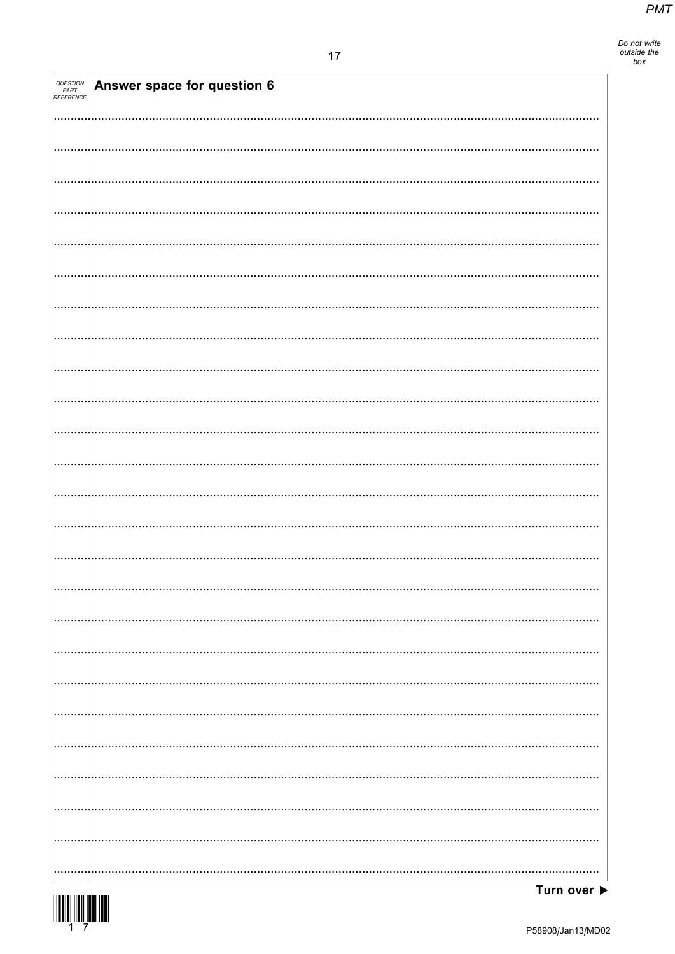| <i>QUESTION<br/>PART<br/>REFERENCE</i> | Answer space for question 6 |
|----------------------------------------|-----------------------------|
|                                        |                             |
|                                        |                             |
|                                        |                             |
|                                        |                             |
|                                        |                             |
|                                        |                             |
|                                        |                             |
|                                        |                             |
|                                        |                             |
|                                        |                             |
|                                        |                             |
|                                        |                             |
|                                        |                             |
|                                        |                             |
|                                        |                             |
|                                        |                             |
|                                        |                             |
|                                        |                             |
|                                        |                             |
|                                        |                             |
|                                        |                             |
|                                        |                             |
|                                        |                             |
|                                        |                             |
|                                        |                             |
|                                        |                             |

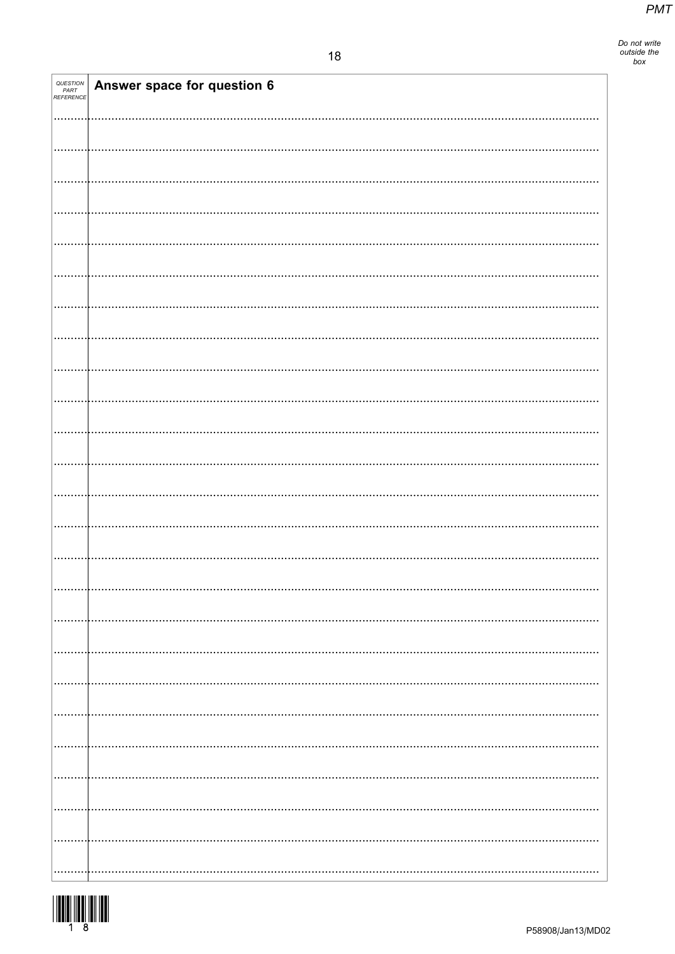| QUESTION<br>PART<br>REFERENCE | Answer space for question 6 |
|-------------------------------|-----------------------------|
|                               |                             |
|                               |                             |
|                               |                             |
|                               |                             |
|                               |                             |
|                               |                             |
|                               |                             |
|                               |                             |
|                               |                             |
|                               |                             |
|                               |                             |
|                               |                             |
|                               |                             |
|                               |                             |
|                               |                             |
|                               |                             |
|                               |                             |
|                               |                             |
|                               |                             |
|                               |                             |
|                               |                             |
|                               |                             |
|                               |                             |
|                               |                             |
|                               |                             |
|                               |                             |
|                               |                             |
|                               |                             |
|                               |                             |
|                               |                             |
|                               |                             |
|                               |                             |

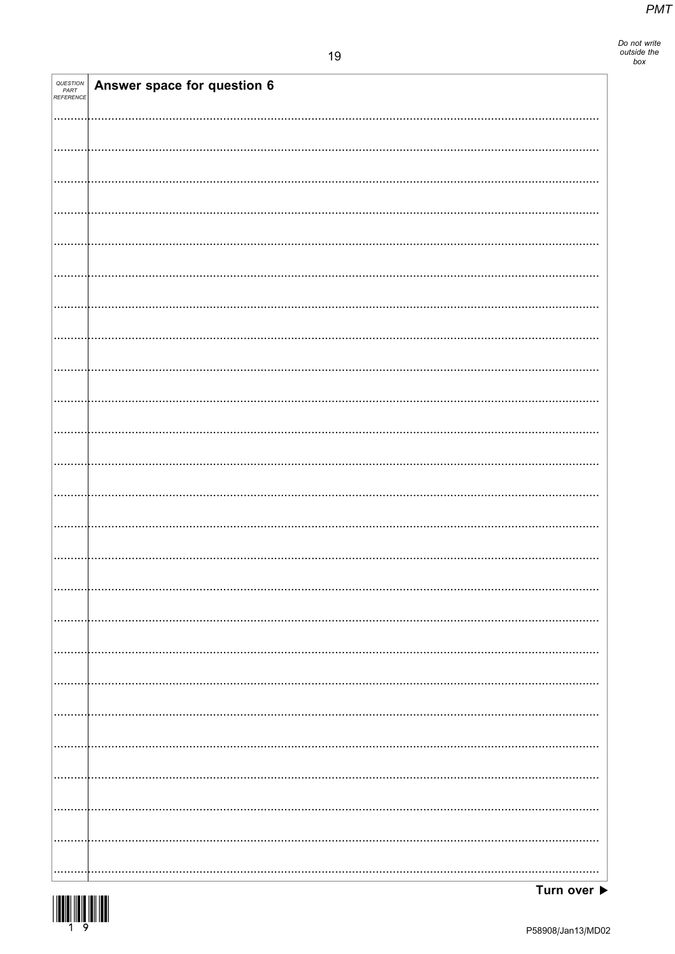Do not write<br>outside the<br>box

| <i>QUESTION<br/>PART<br/>REFERENCE</i> | Answer space for question 6 |
|----------------------------------------|-----------------------------|
|                                        |                             |
|                                        |                             |
|                                        |                             |
|                                        |                             |
|                                        |                             |
|                                        |                             |
|                                        |                             |
|                                        |                             |
|                                        |                             |
|                                        |                             |
|                                        |                             |
|                                        |                             |
|                                        |                             |
|                                        |                             |
|                                        |                             |
|                                        |                             |
|                                        |                             |
|                                        |                             |
|                                        |                             |
|                                        |                             |
|                                        |                             |
|                                        |                             |
|                                        |                             |
|                                        |                             |
|                                        |                             |
|                                        |                             |
|                                        |                             |
|                                        |                             |
|                                        |                             |
|                                        |                             |
|                                        |                             |
|                                        |                             |
|                                        |                             |

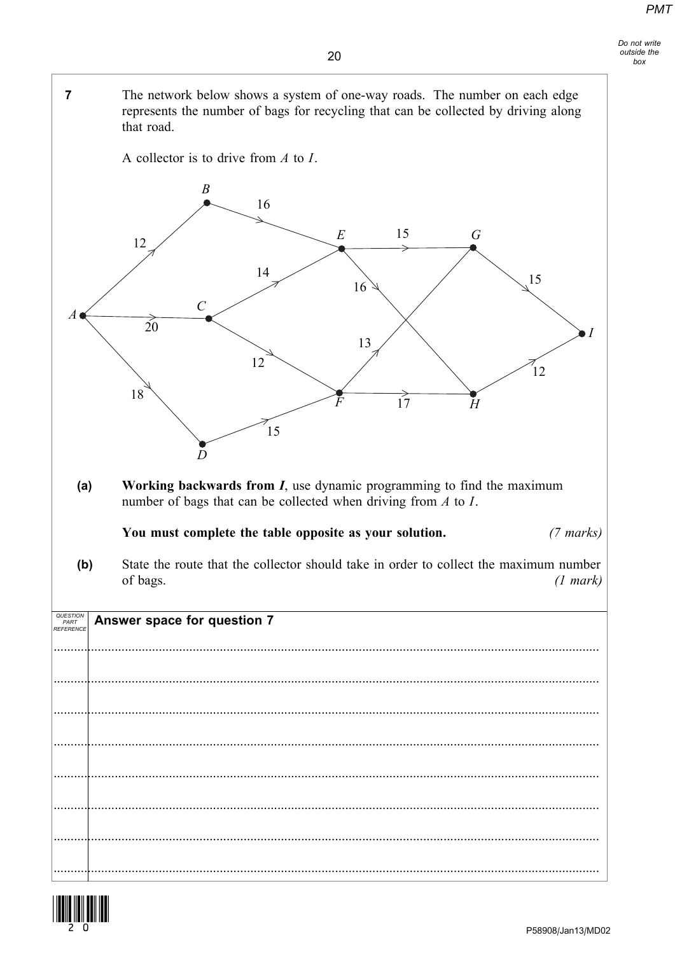$\overline{7}$ The network below shows a system of one-way roads. The number on each edge represents the number of bags for recycling that can be collected by driving along that road.

A collector is to drive from  $A$  to  $I$ .



Working backwards from  $I$ , use dynamic programming to find the maximum  $(a)$ number of bags that can be collected when driving from  $A$  to  $I$ .

You must complete the table opposite as your solution.  $(7 \text{ marks})$ 

State the route that the collector should take in order to collect the maximum number  $(b)$ of bags.  $(1 mark)$ 

QUESTION<br>PART<br>REFERENC Answer space for question 7 

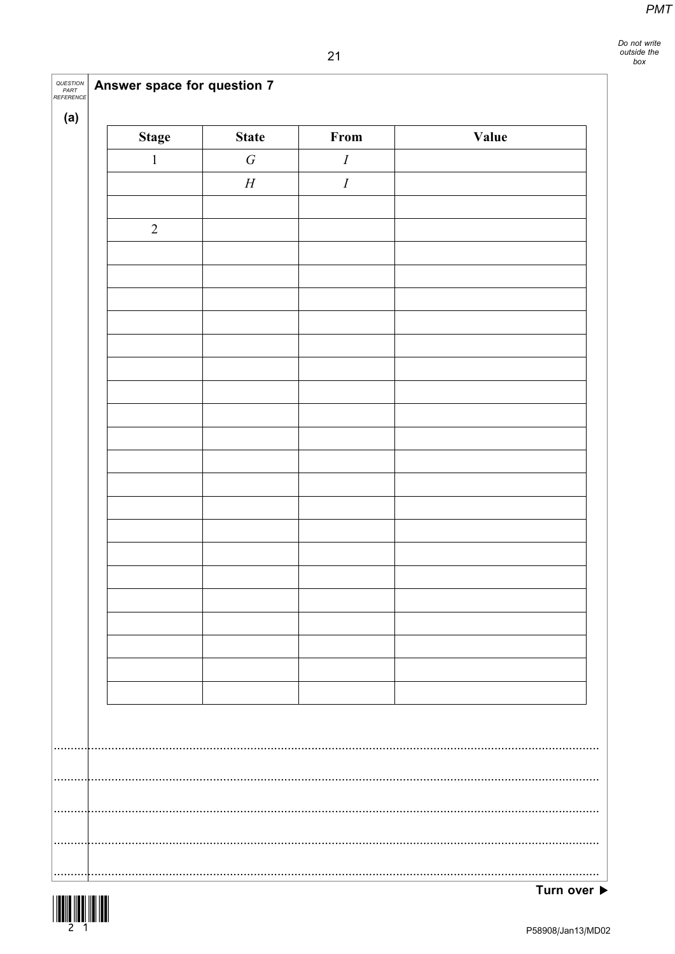|  | <b>QUESTION</b> Answer space for question 7 |  |  |  |  |
|--|---------------------------------------------|--|--|--|--|
|--|---------------------------------------------|--|--|--|--|

| <b>Stage</b>     | <b>State</b> | From     | Value |
|------------------|--------------|----------|-------|
| $\boldsymbol{1}$ | $\cal G$     | $\cal I$ |       |
|                  | $\cal H$     | $\cal I$ |       |
|                  |              |          |       |
| $\overline{2}$   |              |          |       |
|                  |              |          |       |
|                  |              |          |       |
|                  |              |          |       |
|                  |              |          |       |
|                  |              |          |       |
|                  |              |          |       |
|                  |              |          |       |
|                  |              |          |       |
|                  |              |          |       |
|                  |              |          |       |
|                  |              |          |       |
|                  |              |          |       |
|                  |              |          |       |
|                  |              |          |       |
|                  |              |          |       |
|                  |              |          |       |
|                  |              |          |       |
|                  |              |          |       |
|                  |              |          |       |
|                  |              |          |       |
|                  |              |          |       |
|                  |              |          |       |
|                  |              |          |       |
|                  |              |          |       |
|                  |              |          |       |
|                  |              |          |       |
|                  |              |          |       |
|                  |              |          |       |
|                  |              |          |       |



. . . . . . . . .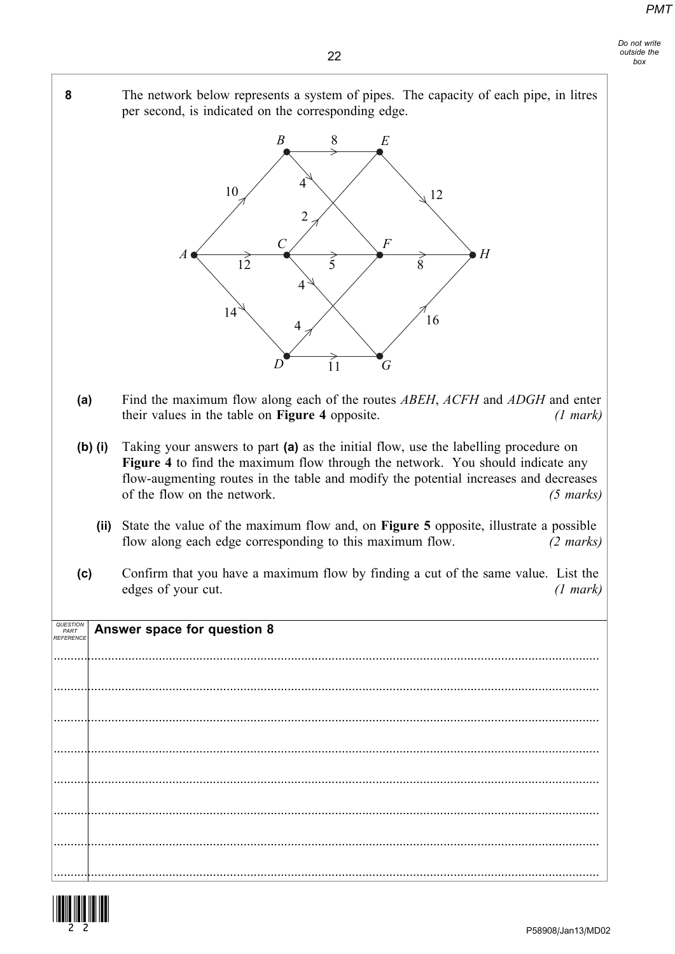

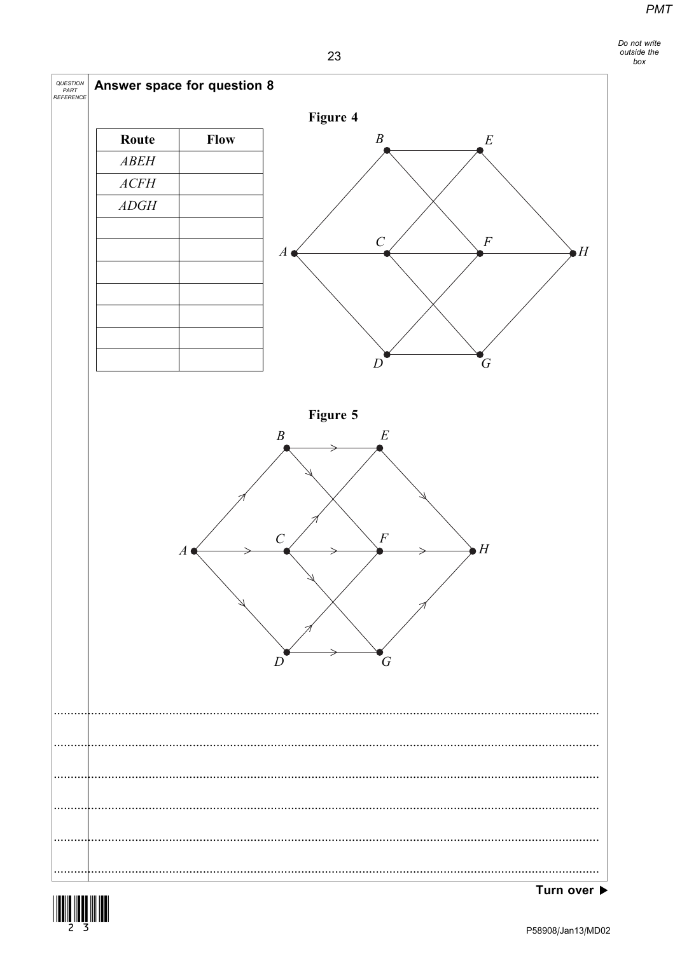Do not write<br>outside the<br>box